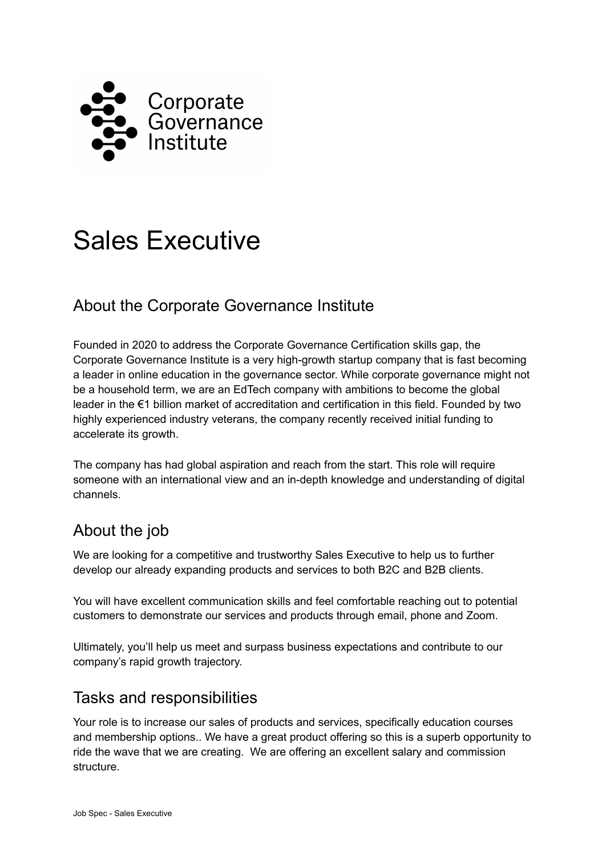

# Sales Executive

## About the Corporate Governance Institute

Founded in 2020 to address the Corporate Governance Certification skills gap, the Corporate Governance Institute is a very high-growth startup company that is fast becoming a leader in online education in the governance sector. While corporate governance might not be a household term, we are an EdTech company with ambitions to become the global leader in the €1 billion market of accreditation and certification in this field. Founded by two highly experienced industry veterans, the company recently received initial funding to accelerate its growth.

The company has had global aspiration and reach from the start. This role will require someone with an international view and an in-depth knowledge and understanding of digital channels.

## About the job

We are looking for a competitive and trustworthy Sales Executive to help us to further develop our already expanding products and services to both B2C and B2B clients.

You will have excellent communication skills and feel comfortable reaching out to potential customers to demonstrate our services and products through email, phone and Zoom.

Ultimately, you'll help us meet and surpass business expectations and contribute to our company's rapid growth trajectory.

#### Tasks and responsibilities

Your role is to increase our sales of products and services, specifically education courses and membership options.. We have a great product offering so this is a superb opportunity to ride the wave that we are creating. We are offering an excellent salary and commission structure.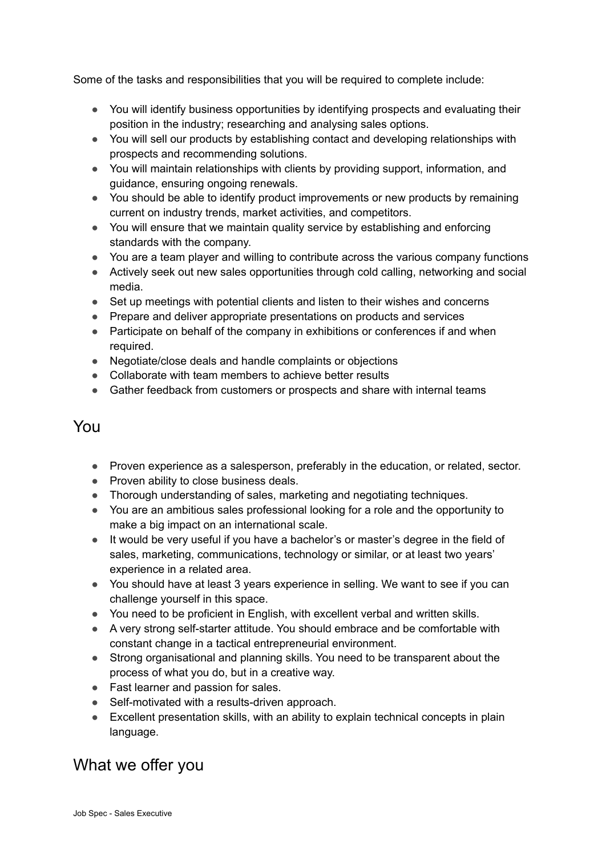Some of the tasks and responsibilities that you will be required to complete include:

- You will identify business opportunities by identifying prospects and evaluating their position in the industry; researching and analysing sales options.
- You will sell our products by establishing contact and developing relationships with prospects and recommending solutions.
- You will maintain relationships with clients by providing support, information, and guidance, ensuring ongoing renewals.
- You should be able to identify product improvements or new products by remaining current on industry trends, market activities, and competitors.
- You will ensure that we maintain quality service by establishing and enforcing standards with the company.
- You are a team player and willing to contribute across the various company functions
- Actively seek out new sales opportunities through cold calling, networking and social media.
- Set up meetings with potential clients and listen to their wishes and concerns
- Prepare and deliver appropriate presentations on products and services
- Participate on behalf of the company in exhibitions or conferences if and when required.
- Negotiate/close deals and handle complaints or objections
- Collaborate with team members to achieve better results
- Gather feedback from customers or prospects and share with internal teams

#### You

- Proven experience as a salesperson, preferably in the education, or related, sector.
- Proven ability to close business deals.
- Thorough understanding of sales, marketing and negotiating techniques.
- You are an ambitious sales professional looking for a role and the opportunity to make a big impact on an international scale.
- It would be very useful if you have a bachelor's or master's degree in the field of sales, marketing, communications, technology or similar, or at least two years' experience in a related area.
- You should have at least 3 years experience in selling. We want to see if you can challenge yourself in this space.
- You need to be proficient in English, with excellent verbal and written skills.
- A very strong self-starter attitude. You should embrace and be comfortable with constant change in a tactical entrepreneurial environment.
- Strong organisational and planning skills. You need to be transparent about the process of what you do, but in a creative way.
- Fast learner and passion for sales.
- Self-motivated with a results-driven approach.
- Excellent presentation skills, with an ability to explain technical concepts in plain language.

### What we offer you